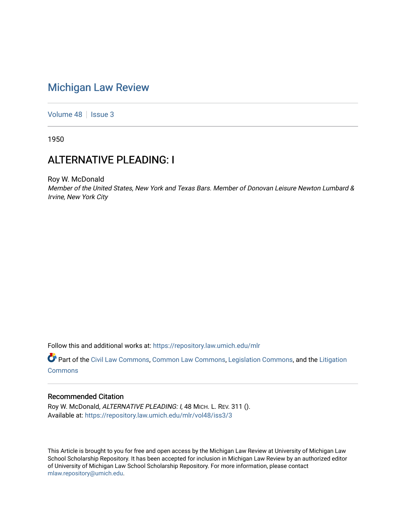## [Michigan Law Review](https://repository.law.umich.edu/mlr)

[Volume 48](https://repository.law.umich.edu/mlr/vol48) | [Issue 3](https://repository.law.umich.edu/mlr/vol48/iss3)

1950

# ALTERNATIVE PLEADING: I

Roy W. McDonald Member of the United States, New York and Texas Bars. Member of Donovan Leisure Newton Lumbard & Irvine, New York City

Follow this and additional works at: [https://repository.law.umich.edu/mlr](https://repository.law.umich.edu/mlr?utm_source=repository.law.umich.edu%2Fmlr%2Fvol48%2Fiss3%2F3&utm_medium=PDF&utm_campaign=PDFCoverPages) 

Part of the [Civil Law Commons](http://network.bepress.com/hgg/discipline/835?utm_source=repository.law.umich.edu%2Fmlr%2Fvol48%2Fiss3%2F3&utm_medium=PDF&utm_campaign=PDFCoverPages), [Common Law Commons](http://network.bepress.com/hgg/discipline/1120?utm_source=repository.law.umich.edu%2Fmlr%2Fvol48%2Fiss3%2F3&utm_medium=PDF&utm_campaign=PDFCoverPages), [Legislation Commons,](http://network.bepress.com/hgg/discipline/859?utm_source=repository.law.umich.edu%2Fmlr%2Fvol48%2Fiss3%2F3&utm_medium=PDF&utm_campaign=PDFCoverPages) and the [Litigation](http://network.bepress.com/hgg/discipline/910?utm_source=repository.law.umich.edu%2Fmlr%2Fvol48%2Fiss3%2F3&utm_medium=PDF&utm_campaign=PDFCoverPages) **[Commons](http://network.bepress.com/hgg/discipline/910?utm_source=repository.law.umich.edu%2Fmlr%2Fvol48%2Fiss3%2F3&utm_medium=PDF&utm_campaign=PDFCoverPages)** 

## Recommended Citation

Roy W. McDonald, ALTERNATIVE PLEADING: I, 48 MICH. L. REV. 311 (). Available at: [https://repository.law.umich.edu/mlr/vol48/iss3/3](https://repository.law.umich.edu/mlr/vol48/iss3/3?utm_source=repository.law.umich.edu%2Fmlr%2Fvol48%2Fiss3%2F3&utm_medium=PDF&utm_campaign=PDFCoverPages)

This Article is brought to you for free and open access by the Michigan Law Review at University of Michigan Law School Scholarship Repository. It has been accepted for inclusion in Michigan Law Review by an authorized editor of University of Michigan Law School Scholarship Repository. For more information, please contact [mlaw.repository@umich.edu.](mailto:mlaw.repository@umich.edu)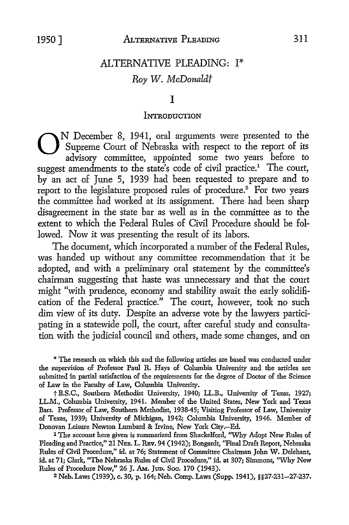## ALTERNATIVE PLEADING: I\* *Roy W. McDonaldt*

## I

#### **INTRODUCTION**

ON December 8, 1941, oral arguments were presented to the Supreme Court of Nebraska with respect to the report of its advisory committee. appointed some two years before to Supreme Court of Nebraska with respect to the report of its advisory committee, appointed some two years before to suggest amendments to the state's code of civil practice.<sup>1</sup> The court, by an act of June 5, 1939 had been requested to prepare and to report to the legislature proposed rules of procedure.<sup>2</sup> For two years the committee had worked at its assignment. There had been sharp disagreement in the state bar as well as in the committee as to the extent to which the Federal Rules of Civil Procedure should be followed. Now it was presenting the result of its labors.

The document, which incorporated a number of the Federal Rules, was handed up without any committee recommendation that it be adopted, and with a preliminary oral statement by the committee's chairman suggesting that haste was unnecessary and that the court might "with prudence, economy and stability await the early solidification of the Federal practice." The court, however, took no such dim view of its duty. Despite an adverse vote by the lawyers participating in a statewide poll, the court, after careful study and consultation with the judicial council and others, made some changes, and on

\* The research on which this and the following articles are based was conducted under the supervision of Professor Paul R. Hays of Columbia University and the articles are submitted in partial satisfaction of the requirements for the degree of Doctor of the Science of Law in the Faculty of Law, Columbia University.

t B.S.C., Southern Methodist University, 1940; LL.B., University of Texas, 1927; LL.M., Columbia University, 1941. Member of the United States, New York and Texas Bars. Professor of Law, Southem Methodist, 1938-45; Visiting Professor of Law, University of Texas, 1939; University of Michigan, 1942; Columbia University, 1946. Member of Donovan Leisure Newton Lumbard & Irvine, New York City.-Ed.

<sup>1</sup> The account here given is summarized from Shackelford, "Why Adopt New Rules of Pleading and Practice," 21 NEB. L. REv. 94 (1942); Bongardt, ''Final Draft Report, Nebraska Rules of Civil Procedure," id. at 76; Statement of Committee Chairman John W. Delehant, id. at 71; Clark, "The Nebraska Rules of Civil Procedure," id. at 307; Simmons, "Why New Rules of Procedure Now," 26 J. Am. Jun. Soc. 170 (1943).

2 Neb. Laws (1939), c. 30, p. 164; Neb. Comp. Laws (Supp. 1941), §§27-231-27-237.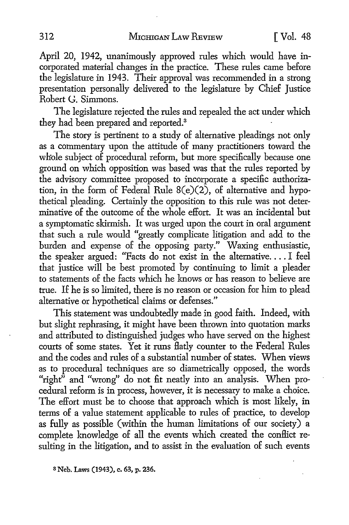April 20, 1942, unanimously approved rules which would have incorporated material changes in the practice. These rules came before the legislature in 1943. Their approval was recommended in a strong presentation personaliy delivered to the legislature by Chief Justice Robert G. Simmons.

The legislature rejected the rules and repealed the act under which they had been prepared and reported.<sup>3</sup>

The story is pertinent to a study of alternative pleadings not only as a commentary upon the attitude of many practitioners toward the whole subject of procedural reform, but more specifically because one ground on which opposition was based was that the rules reported by the advisory committee proposed to incorporate a specific authorization, in the form of Federal Rule 8(e)(2), of alternative and hypothetical pleading. Certainly the opposition to this rule was not determinative of the outcome of the whole effort. It was an incidental but a symptomatic skirmish. It was urged upon the court in oral argument that such a rule would "greatly complicate litigation and add to the burden and expense of the opposing party." Waxing enthusiastic, the speaker argued: "Facts do not exist in the alternative .... I feel that justice will be best promoted by continuing to limit a pleader to statements of the facts which he knows or has reason to believe are true. If he is so limited, there is no reason or occasion for him to plead alternative or hypothetical claims or defenses."

This statement was undoubtedly made in good faith. Indeed, with but slight rephrasing, it might have been thrown into quotation marks and attributed to distinguished judges who have served on the highest courts of some states. Yet it runs flatly counter to the Federal Rules and the codes and rules of a substantial number of states. When views as to procedural techniques are so diametrically opposed, the words "right" and "wrong" do not fit neatly into an analysis. When procedural reform is in process, however, it is necessary to make a choice. The effort must be to choose that approach which is most likely, in terms of a value statement applicable to rules of practice, to develop as fully as possible ( within the human limitations of our society) a complete knowledge of all the events which created the conllict resulting in the litigation, and to assist in the evaluation of such events

**<sup>8</sup> Neb. Laws (1943), c. 63, p. 236.**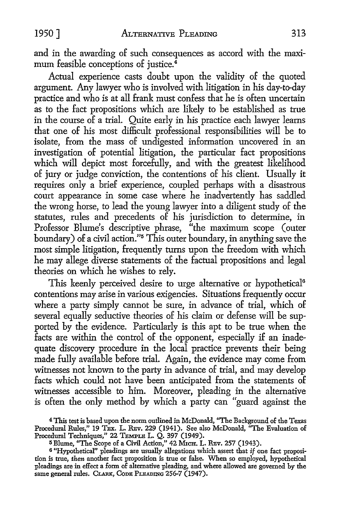and in the awarding of such consequences as accord with the maximum feasible conceptions of justice.<sup>4</sup>

Actual experience casts doubt upon the validity of the quoted argument. Any lawyer who is involved with litigation in his day-to-day practice and who is at all frank must confess that he is often uncertain as to the fact propositions which are likely to be established as true in the course of a trial. Quite early in his practice each lawyer learns that one of his most difficult professional responsibilities will be to isolate, from the mass of undigested information uncovered in an investigation of potential litigation, the particular fact propositions which will depict most forcefully, and with the greatest likelihood of jury or judge conviction, the contentions of his client. Usually it requires only a brief experience, coupled perhaps with a disastrous court appearance in some case where he inadvertently has saddled the wrong horse, to lead the young lawyer into a diligent study of the statutes, rules and precedents of his jurisdiction to determine, in Professor Blume's descriptive phrase, "the maximum scope (outer boundary) of a civil action."<sup>5</sup>This outer boundary, in anything save the most simple litigation, frequently turns upon the freedom with which he may allege diverse statements of the factual propositions and legal theories on which he wishes to rely.

This keenly perceived desire to urge alternative or hypothetical<sup>6</sup> contentions may arise in various exigencies. Situations frequently occur where a party simply cannot be sure, in advance of trial, which of several equally seductive theories of his claim or defense will be supported by the evidence. Particularly is this apt to be true when the facts are within the control of the opponent, especially if an inadequate discovery procedure in the local practice prevents their being made fully available before trial. Again, the evidence may come from witnesses not known to the party in advance of trial, and may develop facts which could not have been anticipated from the statements of witnesses accessible to him. Moreover, pleading in the alternative is often the only method by which a party can "guard against the

<sup>4</sup>This test is based upon the norm outlined in McDonald, "The Background of the Texas Procedural Rules," 19 TEx. L. REv. 229 (1941). See also McDonald, "The Evaluation of Procedural Techniques," 22 TEMPLE L. Q. 397 (1949).

<sup>&</sup>lt;sup>5</sup> Blume, "The Scope of a Civil Action," 42 MICH. L. REV. 257 (1943).

 $6$  "Hypothetical" pleadings are usually allegations which assert that if one fact proposition is true, *then* another fact proposition is true or false. When so employed, hypothetical pleadings are in effect a form of alternative pleading, and where allowed are governed by the same general rules. CLARK, CODE PLEADING 256-7 (1947).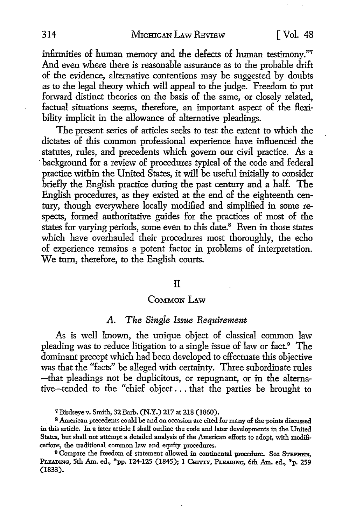infirmities of human memory and the defects of human testimony."<sup>7</sup> And even where there is reasonable assurance as to the probable drift of the evidence, alternative contentions may be suggested by doubts as to the legal theory which will appeal to the judge. Freedom to put forward distinct theories on the basis of the same, or closely related, factual situations seems, therefore, an important aspect of the flexibility implicit in the allowance of alternative pleadings.

The present series of articles seeks to test the extent to which the dictates of this common professional experience have influenced the statutes, rules, and precedents which govern our civil practice. As a background for a review of procedures typical of the code and federal practice within the United States, it will be useful initially to consider briefly the English practice during the past century and a half. The English procedures, as they existed at the end of the eighteenth century, though everywhere locally modified and simplified in some respects, formed authoritative guides for the practices of most of the states for varying periods, some even to this date.<sup>8</sup> Even in those states which have overhauled their procedures most thoroughly, the echo of experience remains a potent factor in problems of interpretation. We turn, therefore, to the English courts.

#### II

### COMMON LAW

### *A. The Single Issue Requirement*

As is well known, the unique object of classical common law pleading was to reduce litigation to a single issue of law or fact.9 The dominant precept which had been developed to effectuate this objective was that the "facts" be alleged with certainty. Three subordinate rules -that pleadings not be duplicitous, or repugnant, or in the alternative-tended to the "chief object ... that the parties be brought to

<sup>7</sup>Birdseye v. Smith, 32 Barb. (N.Y.) 217 at 218 (1860).

<sup>8</sup>American precedents could be and on occasion are cited for many of the points discussed in this article. In a later article I shall outline the code and later developments in the United States, but shall not attempt a detailed analysis of the American efforts to adopt, with modifications, the traditional common law and equity procedures.

<sup>9</sup> Compare the freedom of statement allowed in continental procedure. See STEPHEN, PLEADING, 5th Am. ed., \*pp. 124-125 (1845); 1 CHITTY, PLEADING, 6th Am. ed., \*p. 259 (1833).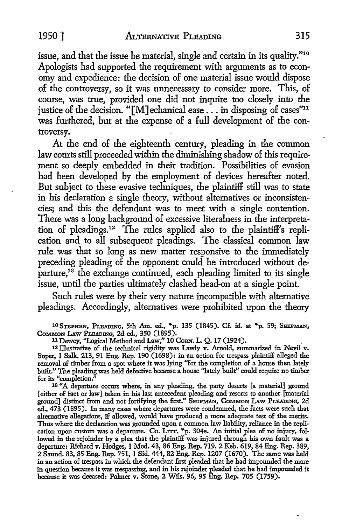issue, and that the issue be material, single and certain in its quality."10 Apologists had supported the requirement with arguments as to economy and expedience: the decision of one material issue would dispose of the controversy, so it was unnecessary to consider more. This, of course, was true, provided one did not inquire too closely into the justice of the decision. "[M]echanical ease . . . in disposing of cases"<sup>11</sup> was furthered, but at the expense of a full development of the controversy.

At the end of the eighteenth century, pleading in the common law courts still proceeded within the diminishing shadow of this requirement so deeply embedded in their tradition. Possibilities of evasion had been developed by the employment of devices hereafter noted. But subject to these evasive techniques, the plaintiff still was to state in his declaration a single theory, without alternatives or inconsistencies; and this the defendant was to meet with a single contention. There was a long background of excessive literalness in the interpretation of pleadings.12 The rules applied also to the plaintiff's replication and to all subsequent pleadings. The classical common law rule was that so long as new matter responsive to the immediately preceding pleading of the opponent could be introduced without departure,<sup>13</sup> the exchange continued, each pleading limited to its single issue, until the parties ultimately clashed head-on at a single point.

Such rules were by their very nature incompatible with alternative pleadings. Accordingly, alternatives were prohibited upon the theory

10 STEPHEN, PLEADING, 5th Am. ed., \*p. 135 (1845). Cf. id. at \*p. 59; SHIPMAN, CoMMoN I.Aw PLEADING, 2d ed., 350 (1895).

11 Dewey, "Logical Method and Law," 10 CoRN. L. Q. 17 (1924).

12 Illustrative of the technical rigidity was Lawly v. Arnold, summarized in Nevil v. Soper, 1 Salk. 213, 91 Eng. Rep. 190 (1698): in an action for trespass plaintiff alleged the removal of timber from a spot where it was lying "for the completion of a house then lately built." The pleading was held defective because a house ''lately built" could require no timber for its "completion."

18 "A departure occurs where, in any pleading, the party deserts [a material] ground [either of fact or law] taken in his last antecedent pleading and resorts to another [material ground] distinct from and not fortifying the first." SHIPMAN, COMMON LAW PLEADING, 2d ed., 473 (1895). In many cases where departures were condemned, the facts were such that alternative allegations, if allowed, would have produced a more adequate test of the merits. Thus where the declaration was grounded upon a common law liability, reliance in the replication upon custom was a departure. Co. Lrrr. \*p. 304e. An initial plea of no injury, followed in the rejoinder by a plea that the plaintifF was injured through his own fault was a departure: Richard v. Hodges, 1 Mod. 43, 86 Eng. Rep. 719, 2 Keh. 619, 84 Eng. Rep. 389, 2 Saund. 83, 85 Eng. Rep. 751, 1 Sid. 444, 82 Eng. Rep. 1207 (1670). The same was held in an action of trespass in which the defendant first pleaded that he had impounded the mare in question because it was trespassing, and in his rejoinder pleaded that he had impounded it because it was deeased: Palmer v. Stone, 2 Wils. 96, 95 Eng. Rep. 705 (1759).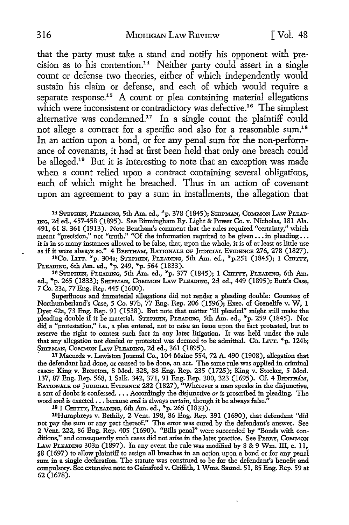that the party must take a stand and notify his opponent with precision as to his contention.<sup>14</sup> Neither party could assert in a single count or defense two theories, either of which independently would sustain his claim or defense, and each of which would require a separate response.<sup>15</sup> A count or plea containing material allegations which were inconsistent or contradictory was defective.<sup>16</sup> The simplest alternative was condemned.<sup>17</sup> In a single count the plaintiff could not allege a contract for a specific and also for a reasonable sum.<sup>18</sup> In an action upon a bond, or for any penal sum for the non-performance of covenants, it had at first been held that only one breach could be alleged.19 But it is interesting to note that an exception was made when a count relied upon a contract containing several obligations. each of which might be breached. Thus in an action of covenant upon an agreement to pay a sum in installments, the allegation that

14 STEPHEN, PLEADING, 5th Am. ed., \*p. 378 (1845); SHIPMAN, COMMON LAW PLEAD-ING, 2d ed., 457-458 (i895). See Birmingham Ry. Light & Power Co. v. Nicholas, 181 Ala. 491, 61 S. 361 (1913). Note Bentham's comment that the rules required "certainty," which meant "precision," not "truth." "Of the information required to be given  $\dots$  in pleading  $\dots$ it is in so many instances allowed to be false, that, upon the whole, it is of at least as little use as if it were always so." 4 BENTHAM, RATIONALE OF JUDICIAL EVIDENCE 276, 278 (1827).

<sup>15</sup>Co. LITT. \*p. 304a; STEPHEN, PLEADING, 5th Am. ed., \*p.251 (1845); 1 CHITTY, PLEADING, 6th Am. ed., \*p. 249, \*p. 564 (1833).

16 STEPHEN, PLEADING, 5th Am. ed., \*p. 377 (1845); 1 CHITTY, PLEADING, 6th Am. ed., \*p. 265 (1833); SHIPMAN, COMMON LAw PLEADING, 2d ed., 449 (1895); Butt's Case, 7 Co. 23a, 77 Eng. Rep. 445 (1600).

SuperHuous and immaterial allegations did not render a pleading double: Countess of Northumberland's Case, 5 Co. 97b, 77 Eng. Rep. 206 (1596); Exec. of Grenelife v. W, 1 Dyer 42a, 73 Eng. Rep. 91 (1538). But note that matter "ill pleaded" might still make the pleading double if it be material. STEPHEN, PLEADING, 5th Am. ed., \*p. 259 (1845). Nor did a "protestation," i.e., a plea entered, not to raise an issue upon the fact protested, but to reserve the right to contest such fact in any later litigation. It was held under the rule that any allegation not denied or protested was deemed to be admitted. Co. LITT. \*p. 124b; SmPMAN, CoMMoN LAw PLEADING, 2d ed., 361 (1895).

· 17 Macurda v. Lewiston Journal Co., 104 Maine 554, 72 A. 490 (1908), allegation that the defendant had done, or caused to be done, an act. The same rule was applied in criminal cases: King v. Brereton, 8 Mod. 328, 88 Eng. Rep. 235 (1725); King v. Stocker, 5 Mod. 137, 87 Eng. Rep. 568, 1 Salk. 342, 371, 91 Eng. Rep. 300, 323 (1695). Cf. 4 BENTHAM, RATIONALE OF JUDICIAL EVIDENCE 282 (1827), "Wherever a man speaks in the disjunctive, a sort of doubt is confessed. . . . Accordingly the disjunctive or is proscribed in pleading. The word *and* is exacted . . . because *and* is always *certain*, though it be always false.'

18 1 CHITTY, PLEADING, 6th Am. ed., \*p. 265 (1833).

19Humphreys v. Bethily, 2 Vent. 198, 86 Eng. Rep. 391 (1690), that defendant "did not pay the sum or any part thereof." The error was cured by the defendant's answer. See 2 Vent. 222, 86 Eng. Rep. 405 (1690). "Bills penal" were succeeded by "Bonds with conditions," and consequently such cases did not arise in the later practice. See PERRY, COMMON LAW PLEADING 303n (1897). In any event the rule was modified by 8 & 9 Wm. III, c. 11, §8 (1697) to allow plaintiff to assign all breaches in an action upon a bond or for any penai sum in a single declaration. The statute was construed to be for the defendant's benefit and compulsory. See extensive note to Gainsford v. Griffith, 1 Wms. Saund. 51, 85 Eng. Rep. 59 at 62 (1678).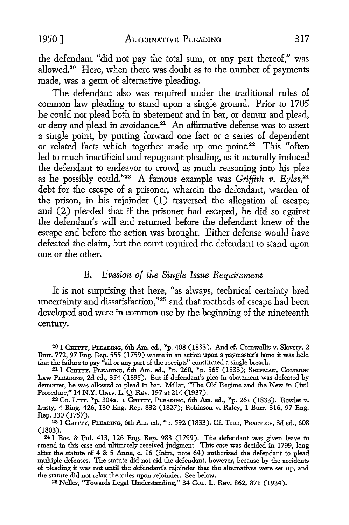the defendant "did not pay the total sum, or any part thereof," was allowed.20 Here, when there was doubt as to the number of payments made, was a germ of alternative pleading.

The defendant also was required under the traditional rules of common law pleading to stand upon a single ground. Prior to 1705 he could not plead both in abatement and in bar, or demur and plead, or deny and plead in avoidance.21 An affirmative defense was to assert a single point, by putting forward one fact or a series of dependent or related facts which together made up one point.<sup>22</sup> This "often led to much inartificial and repugnant pleading, as it naturally induced the defendant to endeavor to crowd as much reasoning into his plea as he possibly could."23 A famous example was *Griffith v. Eyles,24*  debt for the escape of a prisoner, wherein the defendant, warden of the prison, in his rejoinder (1) traversed the allegation of escape; and (2) pleaded that if the prisoner had escaped, he did so against the defendant's will and returned before the defendant knew of the escape and before the action was brought. Either defense would have defeated the claim, but the court required the defendant to stand upon one or the other.

## B. *Evasion of the Single Issue Requirement*

It is not surprising that here, "as always, technical certainty bred uncertainty and dissatisfaction,"25 and that methods of escape had been developed and were in common use by the beginning of the nineteenth century.

20 1 CHI'ITY, PLEADING, 6th Am. ed., \*p. 408 (1833). And cf. Cornwallis v. Slavery, 2 Burr. 772, 97 Eng. Rep. 555 (1759) where in an action upon a paymaster's bond it was held that the failure to pay "all or any part of the receipts" constituted a single breach.

<sup>21</sup> 1 CHITTY, PLEADING, 6th Am. ed., <sup>\*</sup>p. 260, <sup>\*</sup>p. 565 (1833); SHIPMAN, COMMON LAw PLEADING, 2d ed., 354 (1895). But if defendant's plea in abatement was defeated by demurrer, he was allowed to plead in bar. Millar, "The Old Regime and the New in Civil Procedure," 14 N.Y. Umv. L. Q. REv. 197 at 214 (1937).

<sup>22</sup> Co. Lrrr. \*p. 304a. 1 Cmrry, Pleading, 6th Am. ed., \*p. 261 (1833). Rowles v. Lusty, 4 Bing. 426, 130 Eng. Rep. 832 (1827); Robinson v. Raley, 1 Burr. 316, 97 Eng.

<sup>23</sup> 1 CHITTY, PLEADING, 6th Am. ed., \*p. 592 (1833). Cf. TIDD, PRACTICE, 3d ed., 608 (1803).

241 Bos. & Pul. 413, 126 Eng. Rep. 983 (1799). The defendant was given leave to amend in this case and ultimately received judgment. This case was decided in 1799, long after the statute of 4 & 5 Anne, c. 16 (infra, note 64) authorized the defendant to plead multiple defenses. The statute did not aid the defendant, however, because by the accidents of pleading it was not until the defendant's rejoinder that the alternatives were set up, and the statute did not relax the rules upon rejoinder. See below.

25 Nelles, "Towards Legal Understanding," 34 CoL. L. REv. 862, 871 (1934).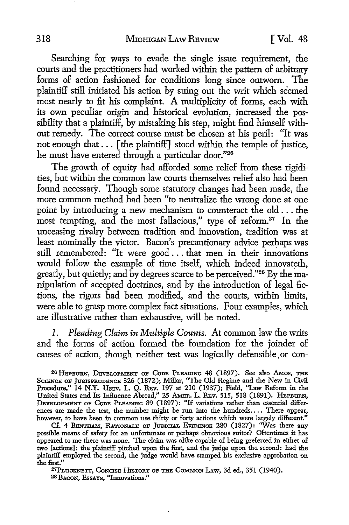Searching for ways to evade the single issue requirement, the courts and the practitioners had worked within the pattern of arbitrary forms of action fashioned for conditions long since outworn. The plaintiff still initiated his action by suing out the writ which seemed most nearly to fit his complaint. A multiplicity of forms, each with its own peculiar origin and historical evolution, increased the possibility that a plaintiff, by mistaking his step, might find himself without remedy. The correct course must be chosen at his peril: "It was not enough that . . . [the plaintiff] stood within the temple of justice, he must have entered through a particular door."26

The growth of equity had afforded some relief from these rigidities, but within the common law courts themselves relief also had been found necessary. Though some statutory changes had been made, the more common method had been "to neutralize the wrong done at one point by introducing a new mechanism to counteract the old ... the most tempting, and the most fallacious," type of reform.<sup>27</sup> In the unceasing rivalry between tradition and innovation, tradition was at least nominally the victor. Bacon's precautionary advice perhaps was still remembered: "It were good ... that men in their innovations would follow the example of time itself, which indeed innovateth, greatly, but quietly; and by degrees scarce to be perceived."28 By the manipulation of accepted doctrines, and by the introduction of legal fictions, the rigors had been modified, and the courts, within limits, were able to grasp more complex fact situations. Four examples, which are illustrative rather than exhaustive, will be noted.

*1. Pleading Claim in Multiple Counts. At* common law the writs and the forms of action formed the foundation for the joinder of causes of action, though neither *test* was logically defensible, or con-

26 HEPBURN, DEVELOPMENT OF CODE PLEADING 48 (1897). See also AMOS, THE Science of Jurisprudence 326 (1872); Millar, "The Old Regime and the New in Civil Procedure," 14 N.Y. UNIV. L. Q. REV. 197 at 210 (1937); Field, "Law Reform in the United States and Its Influence Abroad," 25 AMER. L. REV. 515, 518 (1891). HEPBURN, DEVELOPMENT OF CODE PLEADING 89 (1897): "If variations rather than essential differences are made the test, the number might be run into the hundreds.... There appear, however, to have been in common use thirty or forty actions which were largely different."

Cf. 4 BENTHAM, RATIONALE OF JUDICIAL EVIDENCE 280 (1827): "Was there any possible means of safety for an unfortunate or perhaps obnoxious suitor? Oftentimes it has appeared to me there was none. The claim was alike capable of being preferred in either of two [actions]: the plaintiff pitched upon the first, and the judge upon the second: had the plaintiff employed the second, the judge would have stamped his exclusive approbation on the first."

27PLUCKNETT, CONCISE HISTORY OF THE COMMON LAW, 3d ed., 351 (1940). 28 BACON, EssAYs, "Innovations."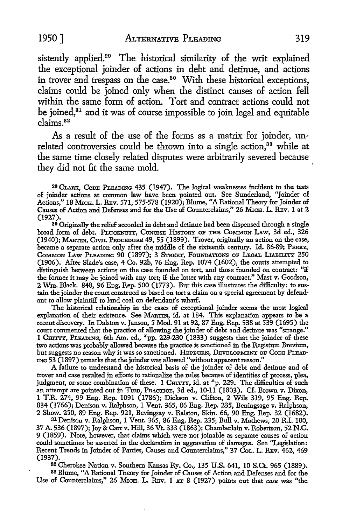sistently applied.<sup>29</sup> The historical similarity of the writ explained the exceptional joinder of actions in debt and detinue, and actions in trover and trespass on the case.<sup>80</sup> With these historical exceptions, claims could be joined only when the distinct causes of action fell within the same form of action. Tort and contract actions could not be joined,<sup>31</sup> and it was of course impossible to join legal and equitable claims.<sup>82</sup>

As a result of the use of the forms as a matrix for joinder, unrelated controversies could be thrown into a single action,<sup>33</sup> while at the same time closely related disputes were arbitrarily severed because they did not fit the same mold.

20 CLARK, CoDB PLBADING 435 (1947). The logical weaknesses incident to the tests of joinder actions at common law have been pointed out. See Sunderland, "Joinder of Actions," 18 MICH. L. REV. 571, 575-578 (1920); Blume, "A Rational Theory for Joinder of Causes of Action and Defenses and for the Use of Counterclaims," 26 MICH. L. REV. 1 at 2 (1927).

30 Originally the relief accorded in debt and detinue had been dispensed through a single broad form of debt. PLUCKNETT, CONCISE HISTORY OF THE COMMON LAW, 3d ed., 326 (1940); MARTIN, CIVIL PROCBDURB 49, 55 (1899). Trover, originally an action on the case, became a separate action only after the middle of the sixteenth century. Id. 86-89; PERRY, COMMON LAW PLEADING 90 (1897); 3 STREET, FOUNDATIONS OF LEGAL LIABILITY 250 (1906). After Slade's case, 4 Co. 92b, 76 Eng. Rep. 1074 (1602), the courts attempted to distinguish between actions on the case founded on tort, and those founded on contract: "if the former it may be joined with any tort; i£ the latter with any contract." Mast v. Goodson, 2 Wm. Black. 848, 96 Eng. Rep. 500 (1773). But this case illustrates the difficulty: to sus• tain the joinder the court construed as based on tort a claim on a special agreement by defendant to allow plaintiff to land coal on defendant's wharf.

The historical relationship in the cases of exceptional joinder seems the most logical explanation of their existence. See MARTIN, id. at 184. This explanation appears to be a recent discovery. In Dalston v. Janson, 5 Mod. 91 at 92, 87 Eng. Rep. 538 at 539 (1695) the court commented that the practice of allowing the joinder of debt and detinue was "strange." 1 CHITTY, PLEADING, 6th Am. ed., \*pp. 229-230 (1833) suggests that the joinder of these two actions was probably allowed because the practice is sanctioned in the Registum Brevium, but suggests no reason why it was so sanctioned. HEPBURN, DEVELOPMENT OF CODE PLEAD-ING 53 (I 897) remarks that the joinder was allowed "without apparent reason."

A failure to understand the historical basis of the joinder of debt and detinue and of trover and case resulted in efforts to rationalize the rules because of identities of process, plea, judgment, or some combination of these. 1 CHITTY, id. at \*p. 229. The difficulties of such an attempt are pointed out in TIDD, PRACTICE, 3d ed., 10-11 (1803). Cf. Brown v. Dixon, 1 T.R. 274, 99 Eng. Rep. 1091 (1786); Dickson v. Clifton, 2 Wils 319, 95 Eng. Rep. 834 (1766); Denison v. Ralphson, 1 Vent. 365, 86 Eng. Rep. 235, Beningsage v. Ralphson, 2 Show. 250, 89 Eng. Rep. 921, Bevingsay v. Ralston, Skin. 66, 90 Eng. Rep. 32 (1682).

3l Denison v. Ralphson, 1 Vent. 365, 86 Eng. Rep. 235; Bull v. Mathews, 20 R.I. 100, 37 A. 536 (1897); Joy & Carr v. Hill, 36 Vt. 333 (1863); Chamberlain v. Robertson, 52 N.C. 9 (1859). Note, however, that claims which were not joinable as separate causes of action could sometimes be asserted in the declaration in aggravation of damages. See "Legislation: Recent Trends in Joinder of Parties, Causes and Counterclaims,'' 37 CoL. L. REv. 462, 469 (1937).

<sup>82</sup>Cherokee Nation v. Southern Kansas Ry. Co., 135 **U.S.** 641, IO S.Ct. 965 (1889). 33 Blume, "A Rational Theory for Joinder of Causes of Action and Defenses and for the Use of Counterclaims," 26 MICH. L. REV. 1 AT 8 (1927) points out that *case* was "the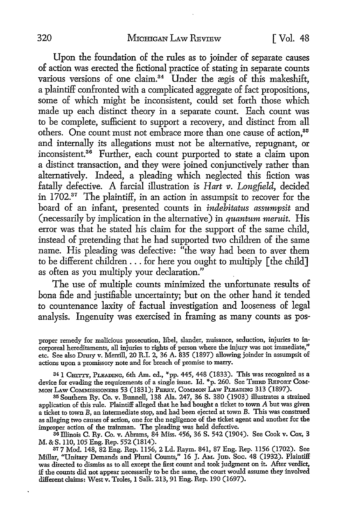Upon the foundation of the rules as to joinder of separate causes of action was erected the fictional practice of stating in separate counts various versions of one claim.<sup>34</sup> Under the ægis of this makeshift, a plaintiff confronted with a complicated aggregate of fact propositions, some of which might be inconsistent, could set forth those which made up each distinct theory in a separate count. Each count was to be complete, sufficient to support a recovery, and distinct from all others. One count must not embrace more than one cause of action.<sup>35</sup> and internally its allegations must not be alternative, repugnant, or inconsistent.<sup>36</sup> Further, each count purported to state a claim upon a distinct transaction, and they were joined conjunctively rather than alternatively. Indeed, a pleading which neglected this fiction was fatally defective. A farcial illustration is *Hart v. Longfield*, decided in 1702.<sup>37</sup> The plaintiff, in an action in assumpsit to recover for the board of an infant, presented counts in *indebitatus assumpsit* and (necessarily by implication in the alternative) in *quantum meruit.* His error was that he stated his claim for the support of the same child, instead of pretending that he had supported two children of the same name. His pleading was defective: "the way had been to aver them to be different children ... for here you ought to multiply [ the child] as often as you multiply your declaration."

The use of multiple counts minimized the unfortunate results of bona fide and justifiable uncertainty; but on the other hand it tended to countenance laxity of factual investigation and looseness of legal analysis. Ingenuity was exercised in framing as many counts as pos-

35 Southern Ry. Co. v. Bunnell, 138 Ala. 247, 36 S. 380 (1903) illustrates a strained application of this rule. Plaintiff alleged that he had bought a ticket to town  $A$  but was given a ticket to town B, an intermediate stop, and had been ejected at town B. This was construed as alleging two causes of action, one for the negligence of the ticket agent and another for the improper action of the trainman. The pleading was held defective.

36 Illinois C. Ry. Co. v. Abrams, 84 Miss. 456, 36 S. 542 (1904). See Cook v. Cox, 3 M. & S. llO, 105 Eng. Rep. 552 (1814).

37 7 Mod. 148, 82 Eng. Rep. 1156, 2 Ld. Raym. 841, 87 Eng. Rep. 1156 (1702). See Millar, "Unitary Demands and Plural Counts," 16 J. AM. JuD. Soc. 48 (1932). Plaintiff was directed to dismiss as to all except the first count and took judgment on it. After verdict, if the counts did not appear necessarily to be the same, the court would assume they involved different claims: West v. Troles, 1 Salk. 213, 91 Eng. Rep. 190 (1697).

proper remedy for malicious prosecution, libel, slander, nuisance, seduction, injuries to incorporeal hereditaments, all injuries to rights of person where the injury was not immediate," etc. See also Drury v. Merrill, 20 R.I. 2, 36 A. 835 (1897) allowing joinder in assumpsit of actions upon a promissory note and for breach of promise to marry.

<sup>&</sup>lt;sup>34</sup> I C<del>HITTY,</del> PLEADING, 6th Am. ed., \*pp. 445, 448 (1833). This was recognized as a device for evading the requirements of a single issue. Id.  $*_p$ . 260. See THIRD REPORT COM-MON LAw CoMMJssroNEns 53 (1831); PERRY, CoMMON LAw PLEADING 313 (1897).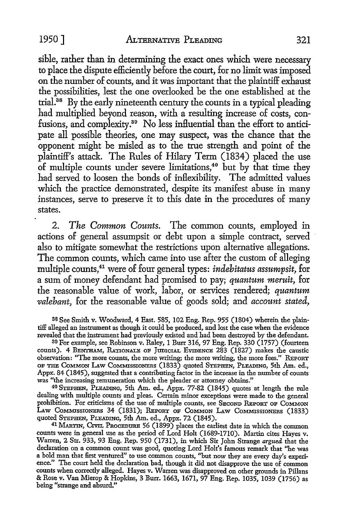sible, rather than in determining the exact ones which were necessary to place the dispute efficiently before the court, for no limit was imposed on the number of counts, and it was important that the plaintiff exhaust the possibilities, lest the one overlooked be the one established at the trial.38 By the early nineteenth century the counts in a typical pleading had multiplied beyond reason, with a resulting increase of costs, confusions, and complexity.39 No less influential than the effort to anticipate all possible theories, one may suspect, was the chance that the opponent might be misled as to the true strength and point of the plaintiff's attack. The Rules of Hilary Term (1834) placed the use of multiple counts under severe limitations,<sup>40</sup> but by that time they had served to loosen the bonds of inflexibility. The admitted values which the practice demonstrated, despite its manifest abuse in many instances, serve to preserve it to this date in the procedures of many states.

2. *The Common Counts.* The common counts, employed in actions of general assumpsit or debt upon a simple contract, served also *to* mitigate somewhat the restrictions upon alternative allegations. The common counts, which came into use after the custom of alleging multiple counts,41 were of four general types: *indebitatus assumpsit,* for a sum of money defendant had promised to pay; *quantum meruit,* for the reasonable value of work, labor, or services rendered; *quantum valebant,* for the reasonable value of goods sold; and *account stated,* 

38 See Smith v. Woodward, 4 East. 585, 102 Eng. Rep. 955 (1804) wherein the plaintiff alleged an instrument as though it could be produced, and lost the case when the evidence revealed that the instrument had previously existed and had been destroyed by the defendant.

39 For example, see Robinson v. Raley, 1 Burr 316, 97 Eng. Rep. 330 (1757) (fourteen counts). 4 BENTHAM, RATIONALE OF JUDICIAL EVIDENCE 283 (1827) makes the caustic observation: "The more counts, the more writing; the more writing, the more fees." REPORT OF THE CoMMoN LAw COMMISSIONERS (1833) quoted STEPHEN, PLEADING, 5th Am. ed., Appx. 84 (1845), suggested that a contributing factor in the increase in the number of counts was "the increasing remuneration which the pleader or attorney obtains."

<sup>40</sup>STEPHEN, PLEADING, 5th Am. ed., Appx. 77-82 (1845) quotes at length the rule dealing with multiple counts and pleas. Certain minor exceptions were made to the general prohibition. For criticisms of the use of multiple counts, see SECOND REPORT OF COMMON LAw CoMMISSIONERS 34 (1831); REPORT oF CoMMoN LAw CoMMISSIONERs (1833) quoted STEPHEN, PLEADING, 5th Am. ed., Appx. 72 (1845).

41 MARTIN, CIVIL PROCEDURE 56 (1899) places the earliest date in which the common counts were in general use as the period of Lord Holt (1689-1710). Martin cites Hayes v. Warren, 2 Str. 933, 93 Eng. Rep. 950 (1731), in which Sir John Strange *argued* that the declaration on a common count was good, quoting Lord Holt's famous remark that "he was a bold man that first ventured" to use common counts, ''but now they are every day's experience." The court held the declaration bad, though it did not disapprove the use of common counts when correctly alleged. Hayes v. Warren was disapproved on other grounds in Pillans & Rose v. Van Mierop & Hopkins, 3 Burr. 1663, 1671, 97 Eng. Rep. 1035, 1039 (1756) as being "strange and absurd."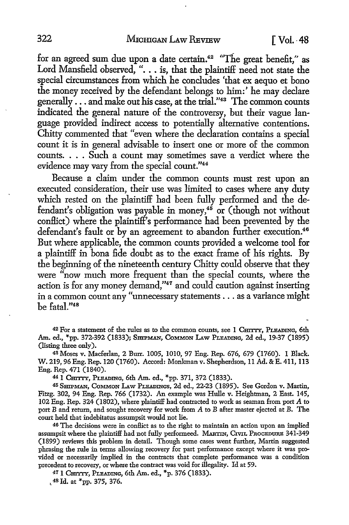for an agreed sum due upon a date certain.<sup>42</sup> "The great benefit," as Lord Mansfield observed, ". . . is, that the plaintiff need not state the special circumstances from which he concludes 'that ex aequo et bono the money received by the defendant belongs to him:' he may declare generally ... and make out his case, at the trial."43 The common counts indicated the general nature of the controversy, but their vague language provided indirect access to potentially alternative contentions. Chitty commented that "even where the declaration contains a special count it is in general advisable to insert one or more of the common counts .... Such a count may sometimes save a verdict where the evidence may vary from the special count."<sup>44</sup>

Because a claim under the common counts must rest upon an executed consideration, their use was limited to cases where any duty which rested on the plaintiff had been fully performed and the defendant's obligation was payable in money,<sup>46</sup> or (though not without conllict) where the plaintiff's performance had been prevented by the defendant's fault or by an agreement to abandon further execution.<sup>46</sup> But where applicable, the common counts provided a welcome tool for a plaintiff in bona fide doubt as to the exact frame of his rights. By the beginning of the nineteenth century Chitty could observe that they were "now much more frequent than the special counts, where the action is for any money demand,"47 and could caution against inserting in a common count any "unnecessary statements ... as a variance might be fatal."<sup>48</sup>

42 For a statement of the rules as to the common counts, see 1 CHITTY, PLEADING, 6th Am. ed., \*pp. 372-392 (1833); SHIPMAN, COMMON LAW PLEADING, 2d ed., 19-37 (1895) (listing three only).

<sup>43</sup>Moses v. Macferlan, 2 Burr. 1005, 1010, 97 Eng. Rep. 676, 679 (1760). 1 Black. W. 219, 96 Eng. Rep. 120 (1760). Accord: Monlanan v. Shepherdson, 11 Ad. & E. 411, 113 Eng. Rep. 471 (1840).

44 1 CHITTY, PLEADING, 6th Am. ed., \*pp. 371, 372 (1833).

45 SHIPMAN, CoMMON I.Aw PLEADINGS, 2d ed., 22-23 (1895). See Gordon v. Martin, Fitzg. 302, 94 Eng. Rep. 766 (1732). An example was Hulle v. Heightman, 2 East. 145, 102 Eng. Rep. 324 (1802), where plaintiff had contracted to work as seaman from port A to port B and return, and sought recovery for work from A to B after master ejected at B. The court held that indebitatus assumpsit would not lie.

46 The decisions were in conflict as to the right to maintain an action upon an implied assumpsit where the plaintiff had not fully performeed. MARTIN, C1VIL PROCEDURE 341-349 (1899) reviews this problem in detail. Though some cases went further, Martin suggested phrasing the rule in terms allowing recovery for part performance except where it was provided or necessarily implied in the contracts that complete performance was a condition precedent to recovery, or where the contract was void for illegality. Id at 59.

47 1 CHI'ITY, PLEADING, 6th Am. ed., \*p. 376 (1833).

, 48 Id. at \*pp. 375, 376.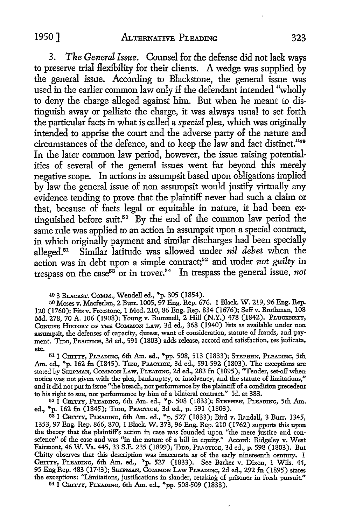3. *The General Issue.* Counsel for the defense did not lack ways to preserve trial flexibility for their clients. A wedge was supplied by the general issue. According to Blackstone, the general issue was used in the earlier common law only if the defendant intended "wholly to deny the charge alleged against him. But when he meant to distinguish away or palliate the charge, it was always usual to set forth the particular facts in what is called a *special* plea, which was originally intended to apprise the court and the adverse party of the nature and circumstances of the defence, and to keep the law and fact distinct."49 In the later common law period, however, the issue raising potentialities of several of the general issues went far beyond this merely negative scope. In actions in assumpsit based upon obligations implied by law the general issue of non assumpsit would justify virtually any evidence tending to prove that the plaintiff never had such a claim or that, because of facts legal or equitable in nature, it had been extinguished before suit.50 By the end of the common law period the same rule was applied to an action in assumpsit upon a special contract, in which originally payment and similar discharges had been specially alleged.51 Similar latitude was allowed under *nil debet* when the action was in debt upon a simple contract;<sup>52</sup> and under *not guilty* in trespass on the case<sup>53</sup> or in trover.<sup>54</sup> In trespass the general issue, not

49 3 BLAcKST. CoMM., Wendell ed., \*p. 305 (1854).

50 Moses v. Macferlan, 2 Burr. 1005, 97 Eng. Rep. 676. I Black. W. 219, 96 Eng. Rep. 120 (1760); Fits v. Freestone, 1 Mod. 210, 86 Eng. Rep. 834 (1676); Seff v. Brothman, 108 Md. 278, 70 A. 106 (1908); Young v. Rummell, 2 Hill (N.Y.) 478 (1842). PLuckNETT, CONCISE HISTORY OF THE COMMON LAW, 3d ed., 368 (1940) lists as available under non assumpsit, the defenses of capacity, duress, want of consideration, statute of frauds, and payment. Tmn, PRACTICE, 3d ed., 591 (1803) adds release, accord and satisfaction, res judicata, etc.

511 CHITTY, PLEADING, 6th Am. ed., \*pp. 508, 513 (1833); STEPHEN, PLEADING, 5th Am. ed., \*p. 162 fn (1845). Tmp, Practice, 3d ed., 591-592 (1803). The exceptions are stated by SHIPMAN, COMMON LAW, PLEADING, 2d ed., 283 fn (1895); "Tender, set-off when notice was not given with the plea, bankruptcy, or insolvency, and the statute of limitations," and it did not put in issue "the breach, nor performance by the plaintiff of a condition precedent to his right to sue, nor performance by him of a bilateral contract.'' Id. at 383.

521 CHITTY, PLEADING, 6th Am. ed., ""p. 508 (1833); STEPHEN, PLEADING, 5th Am. ed., \*p. 162 fn (1845); Tmn, PRACTICE, 3d ed., p. 591 (1803).

53 1 CHITTY, PLEADING, 6th Am. ed., \*p. 527 (1833); Bird v. Randall, 3 Burr. 1345, 1353, 97 Eng. Rep. 866, 870, 1 Black. W. 373, 96 Eng. Rep. 210 (1762) supports this upon the theory that the plaintiff's action in case was founded upon "the mere justice and conscience" of the case and was "in the nature of a bill in equity.'' Accord: Ridgeley v. West Fairmont, 46 W. Va. 445, 33 S.E. 235 (1899); Tmn, PRACTICE, 3d ed., p. 598 (1803). But Chitty observes that this description was inaccurate as of the early nineteenth century. 1 Cmттт, Pleading, 6th Am. ed., \*p. 527 (1833). See Barker v. Dixon, 1 Wils. 44,<br>95 Eng Rep. 483 (1743); Smrман, Cоммон Law Pleading, 2d ed., 292 fn (1895) states the exceptions: "Limitations, justifications in slander, retaking of prisoner in fresh pursuit.''

541 CHITTY, PLEADING, 6th Am. ed., \*pp. 508-509 (1833).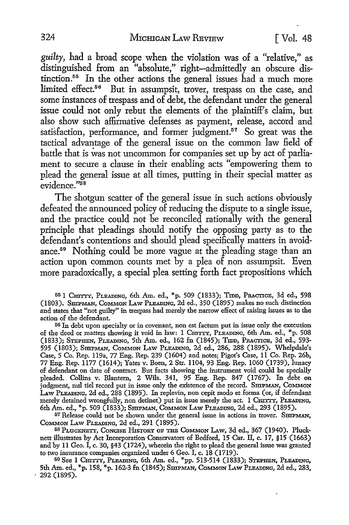*guilty,* had a broad scope when the violation was of a "relative," as distinguished from an "absolute," right-admittedly an obscure distinction.55 In the other actions the general issues had a much more limited effect.<sup>56</sup> But in assumpsit, trover, trespass on the case, and some instances of trespass and of debt, the defendant under the general issue could not only rebut the elements of the plaintiff's claim, but also show such affirmative defenses as payment, release, accord and satisfaction, performance, and former judgment.<sup>57</sup> So great was the tactical advantage of the general issue on the common law field of battle that is was not uncommon for companies set up by act of parliament to secure a clause in their enabling acts "empowering them to plead the general issue at all times, putting in their special matter as evidence."58

The shotgun scatter of the general issue in such actions obviously defeated the announced policy of reducing the dispute to a single issue, and the practice could not be reconciled rationally with the general principle that pleadings should notify the opposing party as to the defendant's contentions and should plead specifically matters in avoidance.59 Nothing could be more vague at the pleading stage than an action upon common counts met by a plea of non assumpsit. Even more paradoxically, a special plea setting forth fact propositions which

55 1 Cm'ITY, PLEADING, 6th Am. ed., \*p. 509 (1833); Tron, PRACTICE, 3d ed., 598 (1803). SHIPMAN, COMMON LAW PLEADING, 2d ed., 350 (1895) makes no such distinction and states that "not guilty" in trespass had merely the narrow effect of raising issues as to the action of the defendant.

56 In debt upon specialty or in covenant, non est factum put in issue only the execution of the deed or matters showing it void in law: 1 Cm'ITY, PLEADING, 6th Am. ed., \*p. 508 (1833); STEPHEN, PLEADING, 5th Am. ed., 162 fn (1845); Tron, PRACTICE, 3d ed., 593- 595 (1803); SmPMAN, CoMMON LAW PLEADING, 2d ed., 286, 288 (1895). Whelpdale's Case, 5 Co. Rep. 119a, 77 Eng. Rep. 239 (1604) and notes; Pigot's Case, 11 Co. Rep. 26b, 77 Eng. Rep. 1177 (1614); Yates v. Boen, 2 Str. 1104, 93 Eng. Rep. 1060 (1739), lunacy of defendant on date of contract. But facts showing the instrument void could be specially pleaded. Collins v. Blantern, 2 Wils. 341, 95 Eng. Rep. 847 (1767). In debt on judgment, nul tiel record put in issue only the existence of the record. SHIPMAN, COMMON LAw PLEADING, 2d ed., 288 (1895). In replevin, non cepit modo et forma (or, if defendant merely detained wrongfully, non detinet) put in issue merely the act. 1 CHITIY, PLEADING, 6th Am. ed., \*p. 509 (1833); SmPMAN, COMMON LAw PLEADING, 2d ed., 293 (1895).

57 Release could not be shown under the general issue in actions in trover. SmPMAN, CoMMON LAw PLEADING, 2d ed., 291 (1895).

58 PLUCKNETT, CONCISE HISTORY OF THE COMMON LAW, 3d ed., 367 (1940). Plucknett illustrates by Act Incorporation Conservators of Bedford, 15 Car. II, c. 17, §15 (1663) and by 11 Geo. I, c. 30, §43 ( 1724 ), wherein the right to plead the general issue was granted to two insurance companies organized under 6 Geo. I, c. 18 (1719).

59 See 1 CHITTY, PLEADING, 6th Am. ed., \*pp. 513-514 (1833); STEPHEN, PLEADING, 5th Am. ed., \*p. 158, \*p. 162-3 fn (1845); SHIPMAN, CoMMON LAw PLEADING, 2d ed., 283, · 292 (1895).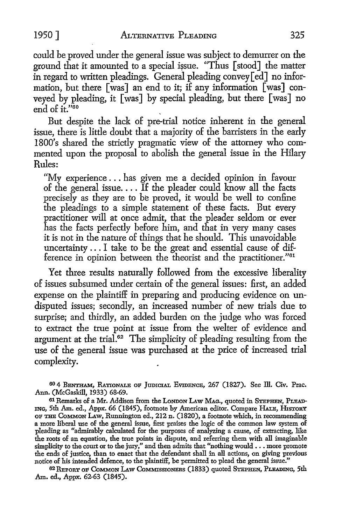could be proved under the general issue was subject to demurrer on the ground that it amounted to a special issue. "Thus [stood] the matter in regard to written pleadings. General pleading convey[ed] no information, but there [was] an end to it; if any information [was] conveyed by pleading, it [was] by special pleading, but there [was] no end of  $\mathbf{i}t$ <sup>"60</sup>

But despite the lack of pre-trial notice inherent in the general issue, there is little doubt that a majority of the barristers in the early 1800's shared the strictly pragmatic view of the attorney who commented upon the proposal to abolish the general issue in the Hilary Rules:

"My experience ... has given me a decided opinion in favour of the general issue. . . . If the pleader could know all the facts precisely as they are to be proved, it would be well to confine the pleadings to a simple statement of these facts. But every practitioner will at once admit, that the pleader seldom or ever has the facts perfectly before him, and that in very many cases it is not in the nature of things that he should. This unavoidable uncertainty ... I take to be the great and essential cause of difference in opinion between the theorist and the practitioner."61

Yet three results naturally followed from the excessive liberality of issues subsumed under certain of the general issues: first, an added expense on the plaintiff in preparing and producing evidence on undisputed issues; secondly, an increased number of new trials due to surprise; and thirdly, an added burden on the judge who was forced to extract the true point at issue from the welter of evidence and argument at the trial.<sup>62</sup> The simplicity of pleading resulting from the use of the general issue was purchased at the price of increased trial complexity.

60 4 BENTHAM, RATIONALE OF JUDICIAL EVIDENCE, 267 (1827). See ill. Civ. Prac. Ann. (McGaskill, 1933) 68-69.

6l Remarks of a Mr. Addison from the LoNDON LAw MAG., quoted in STEPHEN, PLEAD-ING, 5th Am. ed., Appx. 66 (1845), footnote by American editor. Compare HALE, HISTORY OF THE CoMMON LAw, Runnington ed., 212 n. (1820), a footnote which, in recommending a more liberal use of the general issue, first praises the logic of the common law system of pleading as "admirably calculated for the purposes of analyzing a cause, of extracting, like the roots of an equation, the true points in dispute, and referring them with all imaginable simplicity to the court or to the jury," and then admits that "nothing would  $\ldots$  more promote the ends of justice, than to enact that the defendant shall in all actions, on giving previous notice of his intended defence, to the plaintiff, be permitted to plead the general issue."

62 REPORT OF COMMON LAW COMMISSIONERS (1833) quoted STEPHEN, PLEADING, 5th Am. ed., Appx. 62-63 (1845).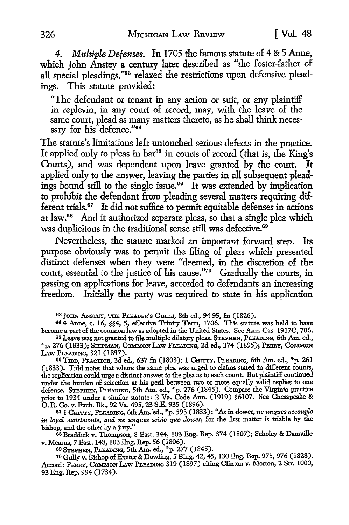*4. Multiple Defenses.* In 1705 the famous statute of 4 & 5 Anne, which John Anstey a century later described as "the foster-father of all special pleadings,"63 relaxed the restrictions upon defensive pleadings. This statute provided:

"The defendant or tenant in any action or suit, or any plaintiff in replevin, in any court of record, may, with the leave of the same court, plead as many matters thereto, as he shall think necessary for his defence."<sup>64</sup>

The statute's limitations left untouched serious defects in the practice. It applied only to pleas in bar<sup>65</sup> in courts of record (that is, the King's Courts), and was dependent upon leave granted by the court. It applied only to the answer, leaving the parties in all subsequent pleadings bound still to the single issue.<sup>66</sup> It was extended by implication to prohibit the defendant from pleading several matters requiring different trials.<sup>67</sup> It did not suffice to permit equitable defenses in actions at law.68 And it authorized separate pleas, so that a single plea which was duplicitous in the traditional sense still was defective.<sup>69</sup>

Nevertheless, the statute marked an important forward step. Its purpose obviously was to permit the filing of pleas which presented distinct defenses when they were "deemed, in the discretion of the court, essential to the justice of his cause."70 Gradually the courts, in passing on applications for leave, accorded to defendants an increasing freedom. Initially the party was required to state in his application

63 JoHN ANsTEY, nm PLEADER'S GumE, 8th ed., 94-95, fn (1826).

64 4 Anne, c. 16, §§4, 5, effective Trinity Term, 1706. This statute was held to have become a part of the common law as adopted in the United States. See Ann. Cas. 1917C, 706.

65 Leave was not granted to file multiple dilatory pleas. STEPHEN, PLEADING, 6th Am. ed., "'p. 276 (1833); SHIPMAN, CoMMON LAw PLEADING, 2d ed., 374 (1895); PERRY, CoMMoN LAw PLEADING, 321 (1897).

66 Trop, PRACTICE, 3d ed., 637 fn (1803); 1 CHITTY, PLEADING, 6th Am. ed., \*p. 261 (1833). Tidd notes that where the same plea was urged to claims stated in different counts, the replication could urge a distinct answer to the plea as to each count. But plaintiff continued under the burden of selection at his peril between two or more equally valid replies to one defense. STEPHEN, PLEADING, 5th Am. ed., "'p. 276 (1845). Compare the Virginia practice prior to 1934 under a similar statute: 2 Va. Code Ann. (1919) §6107. See Chesapeake & 0. R. Co. v. Exch. Bk., 92 Va. 495, 23 S.E. 935 (1896).

67 1 CHI'ITY, PLEADING, 6th Am. 'ed., "'p. 593 (1833): "As in dower, *ne unques accouple in* loyal *matrimonie, and ne unques seisie que dower;* for the first matter is triable by the bishop, and the other by a jury."

68 Braddick v. Thompson, 8 East. 344, 103 Eng. Rep. 374 (1807); Scholey & Damville v. Mearns, 7 East. 148, 103 Eng. Rep. 56 (1806).

69 STEPHEN, PLEADING, 5th Am. ed., \*p. 277 (1845).

70 Gully v. Bishop of Exeter & Dowling, 5 Bing. 42, 45, 130 Eng. Rep. 975, 976 (1828). Accord: PERRY, COMMON LAW PLEADING 319 (1897) citing Clinton v. Morton, 2 Str. 1000, 93 Eng. Rep. 994 (1734).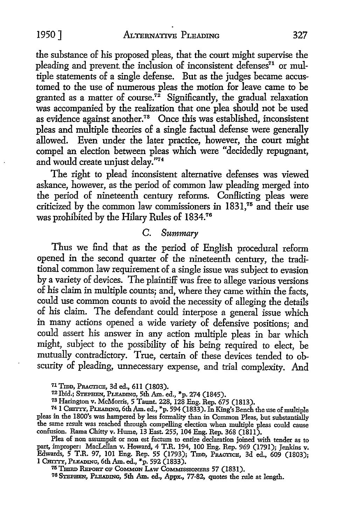the substance of his proposed pleas, that the court might supervise the pleading and prevent the inclusion of inconsistent defenses<sup>71</sup> or multiple statements of a single defense. But as the judges became accustomed to the use of numerous pleas the motion for leave came to be granted as a matter of course.<sup>72</sup> Significantly, the gradual relaxation was accompanied by the realization that one plea should not be used as evidence against another.<sup>78</sup> Once this was established, inconsistent pleas and multiple theories of a single factual defense were generally allowed. Even under the later practice, however, the court might compel an election between pleas which were "decidedly repugnant, and would create unjust delay."74

The right to plead inconsistent alternative defenses was viewed askance, however, as the period of common law pleading merged into the period of nineteenth century reforms. Conflicting pleas were criticized by the common law commissioners in 1831,75 and their use was prohibited by the Hilary Rules of 1834.76

## C. *Summary*

Thus we find that as the period of English procedural reform opened in the second quarter of the nineteenth century, the traditional common law requirement of a single issue was subject to evasion by a variety of devices. The plaintiff was free to allege various versions of his claim in multiple counts; and, where they came within the facts, could use common counts to avoid the necessity of alleging the details of his claim. The defendant could interpose a general issue which in many actions opened a wide variety of defensive positions; and could assert his answer in any action multiple pleas in bar which might, subject to the possibility of his being required to elect, be mutually contradictory. True, certain of these devices tended to obscurity of pleading, unnecessary expense, and trial complexity. And

71 Tron, PRACTICE, 3d ed., 611 (1803).

<sup>7</sup>2 Ibid.; STEPHEN, PLEADING, 5th Am. ed., "'p. 274 (1845).

78 Harington v. McMorris, 5 Taunt. 228, 128 Eng. Rep. 675 (1813).

74 1 CHITrY, PLEADING, 6th Am. ed., "'p. 594 (1833). In King's Bench the use of multiple pleas in the 1800's was hampered by less formality than in Common Pleas, but substantially the same result was reached through compelling election when multiple pleas could cause confusion. Rama Chitty v. Hume, 13 East. 255, 104 Eng. Rep. 368 (1811).

Plea of non assumpsit or non est factum to entire declaration joined with tender as to part, improper: MacLellan v. Howard, 4 T.R. 194, 100 Eng. Rep. 969 (1791); Jenkins v. Edwards, 5 T.R. 97, 101 Eng. Rep. 55 (1793); Tron, PRACTICE, 3d ed., 609 (1803); 1 CHITrY, PLEADING, 6th Am. ed., "'p. 592 (1833).

<sup>75</sup> THIRD REPORT OF COMMON LAW COMMISSIONERS 57 (1831).

76 STEPHEN, PLEADING, 5th Am. ed., Appx., 77-82, quotes the rule at length.